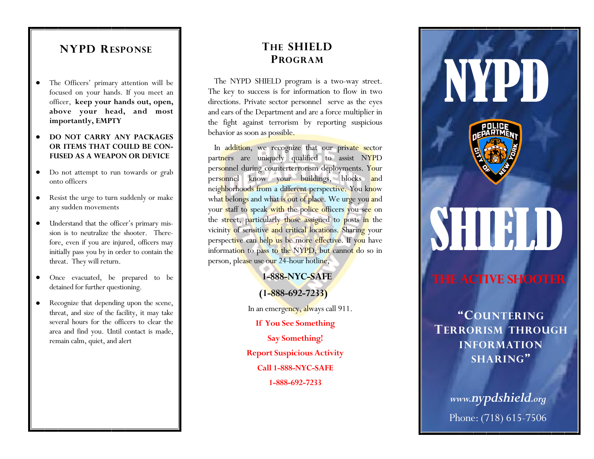# **NYPD RESPONSE**

- The Officers' primary attention will be focused on your hands. If you meet an officer, **keep your hands out, open, above your head, and most importantly, EMPTY**
- **DO NOT CARRY ANY PACKAGES OR ITEMS THAT COULD BE CON-FUSED AS A WEAPON OR DEVICE**
- Do not attempt to run towards or grab onto officers
- Resist the urge to turn suddenly or make any sudden movements
- $\bullet$ Understand that the officer's primary mission is to neutralize the shooter. Therefore, even if you are injured, officers may initially pass you by in order to contain the threat. They will return.
- Once evacuated, be prepared to be detained for further questioning.
- Recognize that depending upon the scene, threat, and size of the facility, it may take several hours for the officers to clear the area and find you. Until contact is made, remain calm, quiet, and alert

# **THE SHIELD PROGRAM**

The NYPD SHIELD program is a two-way street. The key to success is for information to flow in two directions. Private sector personnel serve as the eyes and ears of the Department and are a force multiplier in the fight against terrorism by reporting suspicious behavior as soon as possible.

In addition, we recognize that our private sector partners are uniquely qualified to assist NYPD personnel during counterterrorism deployments. Your personnel know your buildings, blocks and neighborhoods from a different perspective. You know what belongs and what is out of place. We urge you and your staff to speak with the police officers you see on the street, particularly those assigned to posts in the vicinity of sensitive and critical locations. Sharing your perspective can help us be more effective. If you have information to pass to the NYPD, but cannot do so in person, please use our 24-hour hotline,

> **1-888-NYC-SAFE (1-888-692-7233)**  In an emergency, always call 911. **If You See Something Say Something! Report Suspicious Activity Call 1-888-NYC-SAFE 1-888-692-7233**



**TERRORISM THROUGH INFORMATION SHARING"**

*www.nypdshield.org*  Phone: (718) 615-7506